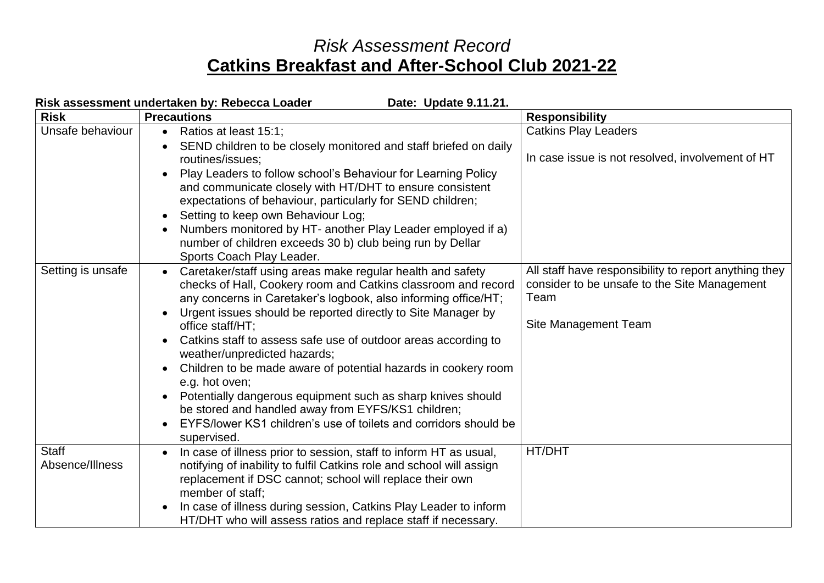## *Risk Assessment Record* **Catkins Breakfast and After-School Club 2021-22**

| Risk assessment undertaken by: Rebecca Loader<br>Date: Update 9.11.21. |                                                                                                                                                                                                                                                                                                                                                                                                                                                                                                                                                                                                                                                                                              |                                                                                                                                       |  |  |
|------------------------------------------------------------------------|----------------------------------------------------------------------------------------------------------------------------------------------------------------------------------------------------------------------------------------------------------------------------------------------------------------------------------------------------------------------------------------------------------------------------------------------------------------------------------------------------------------------------------------------------------------------------------------------------------------------------------------------------------------------------------------------|---------------------------------------------------------------------------------------------------------------------------------------|--|--|
| <b>Risk</b>                                                            | <b>Precautions</b>                                                                                                                                                                                                                                                                                                                                                                                                                                                                                                                                                                                                                                                                           | <b>Responsibility</b>                                                                                                                 |  |  |
| Unsafe behaviour                                                       | • Ratios at least 15:1;<br>SEND children to be closely monitored and staff briefed on daily<br>routines/issues;<br>Play Leaders to follow school's Behaviour for Learning Policy<br>and communicate closely with HT/DHT to ensure consistent<br>expectations of behaviour, particularly for SEND children;<br>Setting to keep own Behaviour Log;<br>Numbers monitored by HT- another Play Leader employed if a)<br>number of children exceeds 30 b) club being run by Dellar<br>Sports Coach Play Leader.                                                                                                                                                                                    | <b>Catkins Play Leaders</b><br>In case issue is not resolved, involvement of HT                                                       |  |  |
| Setting is unsafe                                                      | Caretaker/staff using areas make regular health and safety<br>$\bullet$<br>checks of Hall, Cookery room and Catkins classroom and record<br>any concerns in Caretaker's logbook, also informing office/HT;<br>Urgent issues should be reported directly to Site Manager by<br>office staff/HT;<br>Catkins staff to assess safe use of outdoor areas according to<br>weather/unpredicted hazards;<br>Children to be made aware of potential hazards in cookery room<br>e.g. hot oven;<br>Potentially dangerous equipment such as sharp knives should<br>be stored and handled away from EYFS/KS1 children;<br>EYFS/lower KS1 children's use of toilets and corridors should be<br>supervised. | All staff have responsibility to report anything they<br>consider to be unsafe to the Site Management<br>Team<br>Site Management Team |  |  |
| Staff<br>Absence/Illness                                               | In case of illness prior to session, staff to inform HT as usual,<br>notifying of inability to fulfil Catkins role and school will assign<br>replacement if DSC cannot; school will replace their own<br>member of staff;<br>In case of illness during session, Catkins Play Leader to inform<br>HT/DHT who will assess ratios and replace staff if necessary.                                                                                                                                                                                                                                                                                                                               | HT/DHT                                                                                                                                |  |  |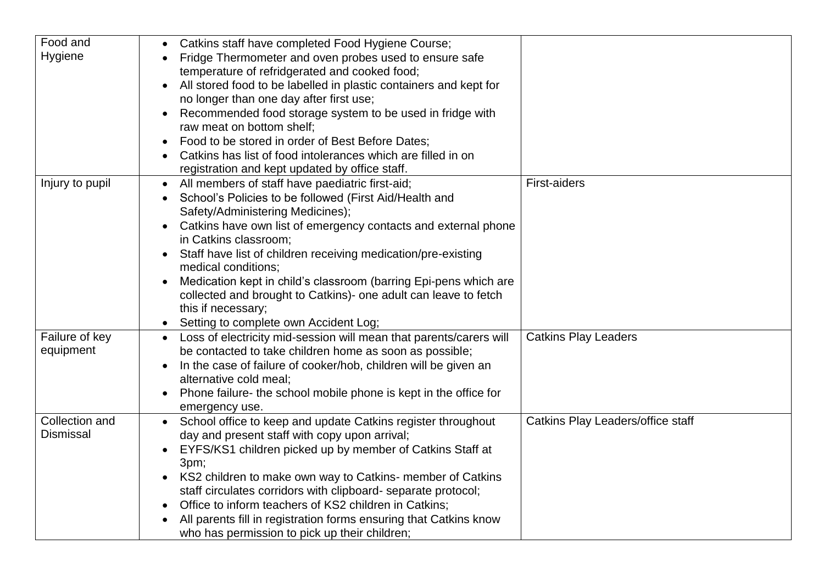| Food and         | Catkins staff have completed Food Hygiene Course;                                       |                                   |
|------------------|-----------------------------------------------------------------------------------------|-----------------------------------|
| Hygiene          | Fridge Thermometer and oven probes used to ensure safe                                  |                                   |
|                  | temperature of refridgerated and cooked food;                                           |                                   |
|                  | All stored food to be labelled in plastic containers and kept for                       |                                   |
|                  | no longer than one day after first use;                                                 |                                   |
|                  | Recommended food storage system to be used in fridge with<br>$\bullet$                  |                                   |
|                  | raw meat on bottom shelf;                                                               |                                   |
|                  | Food to be stored in order of Best Before Dates;                                        |                                   |
|                  | Catkins has list of food intolerances which are filled in on                            |                                   |
|                  | registration and kept updated by office staff.                                          |                                   |
| Injury to pupil  | All members of staff have paediatric first-aid;<br>$\bullet$                            | <b>First-aiders</b>               |
|                  | School's Policies to be followed (First Aid/Health and                                  |                                   |
|                  | Safety/Administering Medicines);                                                        |                                   |
|                  | Catkins have own list of emergency contacts and external phone<br>in Catkins classroom; |                                   |
|                  | Staff have list of children receiving medication/pre-existing                           |                                   |
|                  | medical conditions;                                                                     |                                   |
|                  | Medication kept in child's classroom (barring Epi-pens which are                        |                                   |
|                  | collected and brought to Catkins)- one adult can leave to fetch                         |                                   |
|                  | this if necessary;                                                                      |                                   |
|                  | Setting to complete own Accident Log;                                                   |                                   |
| Failure of key   | • Loss of electricity mid-session will mean that parents/carers will                    | <b>Catkins Play Leaders</b>       |
| equipment        | be contacted to take children home as soon as possible;                                 |                                   |
|                  | In the case of failure of cooker/hob, children will be given an                         |                                   |
|                  | alternative cold meal;                                                                  |                                   |
|                  | Phone failure- the school mobile phone is kept in the office for                        |                                   |
|                  | emergency use.                                                                          |                                   |
| Collection and   | School office to keep and update Catkins register throughout<br>$\bullet$               | Catkins Play Leaders/office staff |
| <b>Dismissal</b> | day and present staff with copy upon arrival;                                           |                                   |
|                  | EYFS/KS1 children picked up by member of Catkins Staff at                               |                                   |
|                  | 3pm;                                                                                    |                                   |
|                  | KS2 children to make own way to Catkins- member of Catkins<br>$\bullet$                 |                                   |
|                  | staff circulates corridors with clipboard- separate protocol;                           |                                   |
|                  | Office to inform teachers of KS2 children in Catkins;                                   |                                   |
|                  | All parents fill in registration forms ensuring that Catkins know                       |                                   |
|                  | who has permission to pick up their children;                                           |                                   |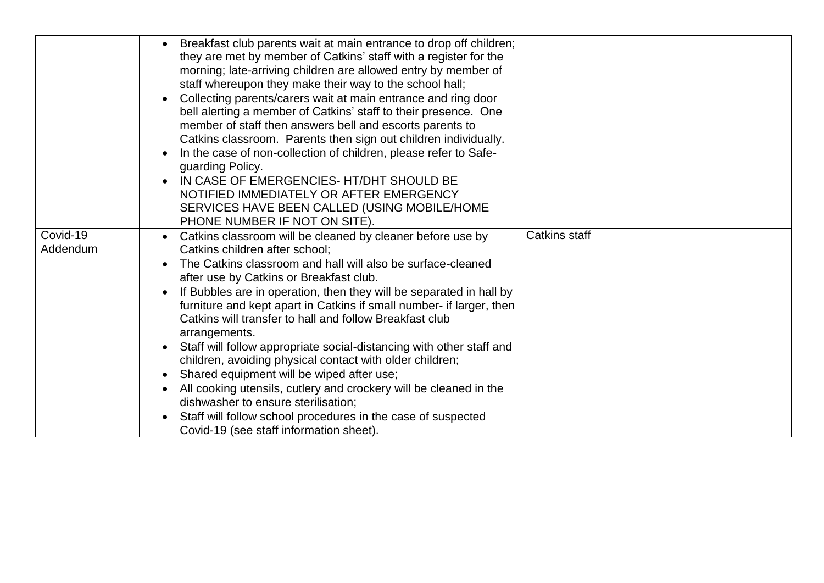|                      | Breakfast club parents wait at main entrance to drop off children;<br>they are met by member of Catkins' staff with a register for the<br>morning; late-arriving children are allowed entry by member of<br>staff whereupon they make their way to the school hall;<br>Collecting parents/carers wait at main entrance and ring door<br>bell alerting a member of Catkins' staff to their presence. One<br>member of staff then answers bell and escorts parents to<br>Catkins classroom. Parents then sign out children individually.<br>In the case of non-collection of children, please refer to Safe-<br>guarding Policy.<br>IN CASE OF EMERGENCIES- HT/DHT SHOULD BE<br>NOTIFIED IMMEDIATELY OR AFTER EMERGENCY<br>SERVICES HAVE BEEN CALLED (USING MOBILE/HOME<br>PHONE NUMBER IF NOT ON SITE)                                                  |                      |
|----------------------|--------------------------------------------------------------------------------------------------------------------------------------------------------------------------------------------------------------------------------------------------------------------------------------------------------------------------------------------------------------------------------------------------------------------------------------------------------------------------------------------------------------------------------------------------------------------------------------------------------------------------------------------------------------------------------------------------------------------------------------------------------------------------------------------------------------------------------------------------------|----------------------|
| Covid-19<br>Addendum | Catkins classroom will be cleaned by cleaner before use by<br>Catkins children after school:<br>The Catkins classroom and hall will also be surface-cleaned<br>after use by Catkins or Breakfast club.<br>If Bubbles are in operation, then they will be separated in hall by<br>furniture and kept apart in Catkins if small number- if larger, then<br>Catkins will transfer to hall and follow Breakfast club<br>arrangements.<br>Staff will follow appropriate social-distancing with other staff and<br>children, avoiding physical contact with older children;<br>Shared equipment will be wiped after use;<br>$\bullet$<br>All cooking utensils, cutlery and crockery will be cleaned in the<br>dishwasher to ensure sterilisation;<br>Staff will follow school procedures in the case of suspected<br>Covid-19 (see staff information sheet). | <b>Catkins staff</b> |